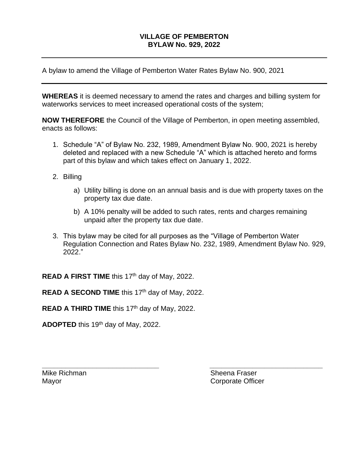## **VILLAGE OF PEMBERTON BYLAW No. 929, 2022**

A bylaw to amend the Village of Pemberton Water Rates Bylaw No. 900, 2021

**WHEREAS** it is deemed necessary to amend the rates and charges and billing system for waterworks services to meet increased operational costs of the system;

**NOW THEREFORE** the Council of the Village of Pemberton, in open meeting assembled, enacts as follows:

- 1. Schedule "A" of Bylaw No. 232, 1989, Amendment Bylaw No. 900, 2021 is hereby deleted and replaced with a new Schedule "A" which is attached hereto and forms part of this bylaw and which takes effect on January 1, 2022.
- 2. Billing
	- a) Utility billing is done on an annual basis and is due with property taxes on the property tax due date.
	- b) A 10% penalty will be added to such rates, rents and charges remaining unpaid after the property tax due date.
- 3. This bylaw may be cited for all purposes as the "Village of Pemberton Water Regulation Connection and Rates Bylaw No. 232, 1989, Amendment Bylaw No. 929, 2022."

**\_\_\_\_\_\_\_\_\_\_\_\_\_\_\_\_\_\_\_\_\_\_\_\_\_\_\_\_\_\_ \_\_\_\_\_\_\_\_\_\_\_\_\_\_\_\_\_\_\_\_\_\_\_\_\_\_\_\_\_**

**READ A FIRST TIME** this 17<sup>th</sup> day of May, 2022.

READ A SECOND TIME this 17<sup>th</sup> day of May, 2022.

**READ A THIRD TIME** this 17<sup>th</sup> day of May, 2022.

**ADOPTED** this 19th day of May, 2022.

Mike Richman Sheena Fraser Mayor **Communist Communist Communist Communist Communist Communist Communist Communist Communist Communist Communist Communist Communist Communist Communist Communist Communist Communist Communist Communist Communist Commu**